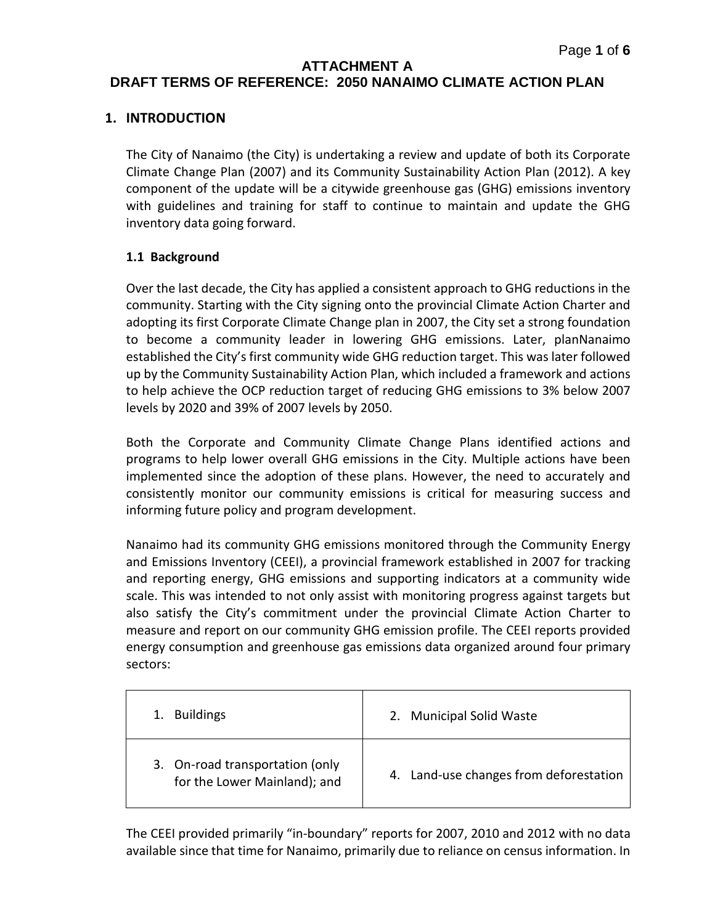#### **ATTACHMENT A**

# **DRAFT TERMS OF REFERENCE: 2050 NANAIMO CLIMATE ACTION PLAN**

### **1. INTRODUCTION**

The City of Nanaimo (the City) is undertaking a review and update of both its Corporate Climate Change Plan (2007) and its Community Sustainability Action Plan (2012). A key component of the update will be a citywide greenhouse gas (GHG) emissions inventory with guidelines and training for staff to continue to maintain and update the GHG inventory data going forward.

### **1.1 Background**

Over the last decade, the City has applied a consistent approach to GHG reductions in the community. Starting with the City signing onto the provincial Climate Action Charter and adopting its first Corporate Climate Change plan in 2007, the City set a strong foundation to become a community leader in lowering GHG emissions. Later, planNanaimo established the City's first community wide GHG reduction target. This was later followed up by the Community Sustainability Action Plan, which included a framework and actions to help achieve the OCP reduction target of reducing GHG emissions to 3% below 2007 levels by 2020 and 39% of 2007 levels by 2050.

Both the Corporate and Community Climate Change Plans identified actions and programs to help lower overall GHG emissions in the City. Multiple actions have been implemented since the adoption of these plans. However, the need to accurately and consistently monitor our community emissions is critical for measuring success and informing future policy and program development.

Nanaimo had its community GHG emissions monitored through the Community Energy and Emissions Inventory (CEEI), a provincial framework established in 2007 for tracking and reporting energy, GHG emissions and supporting indicators at a community wide scale. This was intended to not only assist with monitoring progress against targets but also satisfy the City's commitment under the provincial Climate Action Charter to measure and report on our community GHG emission profile. The CEEI reports provided energy consumption and greenhouse gas emissions data organized around four primary sectors:

| <b>Buildings</b>                                                | 2. Municipal Solid Waste               |
|-----------------------------------------------------------------|----------------------------------------|
| 3. On-road transportation (only<br>for the Lower Mainland); and | 4. Land-use changes from deforestation |

The CEEI provided primarily "in-boundary" reports for 2007, 2010 and 2012 with no data available since that time for Nanaimo, primarily due to reliance on census information. In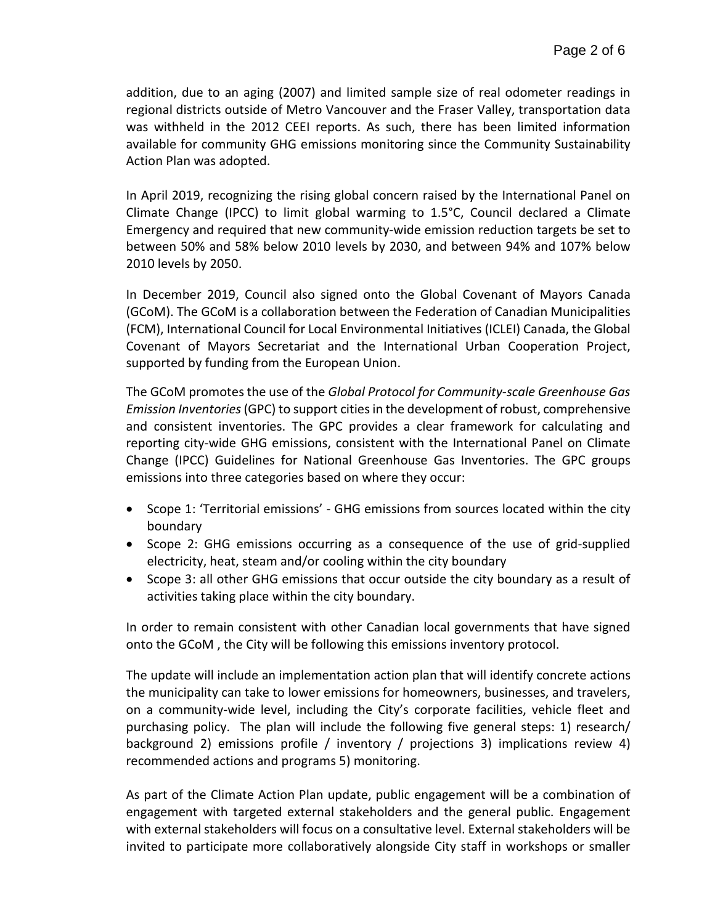addition, due to an aging (2007) and limited sample size of real odometer readings in regional districts outside of Metro Vancouver and the Fraser Valley, transportation data was withheld in the 2012 CEEI reports. As such, there has been limited information available for community GHG emissions monitoring since the Community Sustainability Action Plan was adopted.

In April 2019, recognizing the rising global concern raised by the International Panel on Climate Change (IPCC) to limit global warming to 1.5°C, Council declared a Climate Emergency and required that new community-wide emission reduction targets be set to between 50% and 58% below 2010 levels by 2030, and between 94% and 107% below 2010 levels by 2050.

In December 2019, Council also signed onto the Global Covenant of Mayors Canada (GCoM). The GCoM is a collaboration between the Federation of Canadian Municipalities (FCM), International Council for Local Environmental Initiatives (ICLEI) Canada, the Global Covenant of Mayors Secretariat and the International Urban Cooperation Project, supported by funding from the European Union.

The GCoM promotes the use of the *Global Protocol for Community-scale Greenhouse Gas Emission Inventories* (GPC) to support cities in the development of robust, comprehensive and consistent inventories. The GPC provides a clear framework for calculating and reporting city-wide GHG emissions, consistent with the International Panel on Climate Change (IPCC) Guidelines for National Greenhouse Gas Inventories. The GPC groups emissions into three categories based on where they occur:

- Scope 1: 'Territorial emissions' GHG emissions from sources located within the city boundary
- Scope 2: GHG emissions occurring as a consequence of the use of grid-supplied electricity, heat, steam and/or cooling within the city boundary
- Scope 3: all other GHG emissions that occur outside the city boundary as a result of activities taking place within the city boundary.

In order to remain consistent with other Canadian local governments that have signed onto the GCoM , the City will be following this emissions inventory protocol.

The update will include an implementation action plan that will identify concrete actions the municipality can take to lower emissions for homeowners, businesses, and travelers, on a community-wide level, including the City's corporate facilities, vehicle fleet and purchasing policy. The plan will include the following five general steps: 1) research/ background 2) emissions profile / inventory / projections 3) implications review 4) recommended actions and programs 5) monitoring.

As part of the Climate Action Plan update, public engagement will be a combination of engagement with targeted external stakeholders and the general public. Engagement with external stakeholders will focus on a consultative level. External stakeholders will be invited to participate more collaboratively alongside City staff in workshops or smaller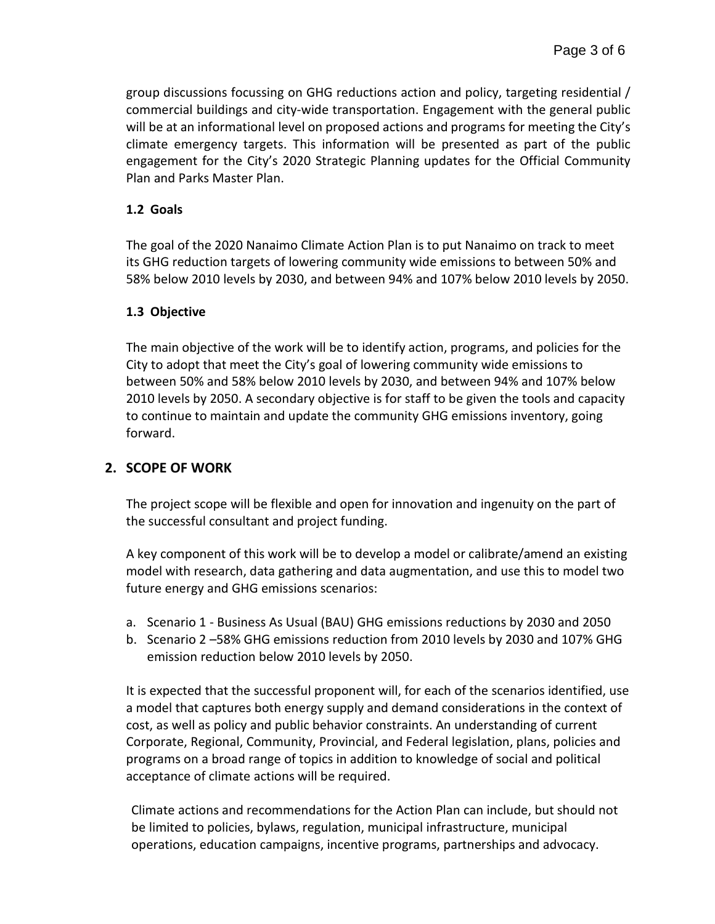group discussions focussing on GHG reductions action and policy, targeting residential / commercial buildings and city-wide transportation. Engagement with the general public will be at an informational level on proposed actions and programs for meeting the City's climate emergency targets. This information will be presented as part of the public engagement for the City's 2020 Strategic Planning updates for the Official Community Plan and Parks Master Plan.

## **1.2 Goals**

The goal of the 2020 Nanaimo Climate Action Plan is to put Nanaimo on track to meet its GHG reduction targets of lowering community wide emissions to between 50% and 58% below 2010 levels by 2030, and between 94% and 107% below 2010 levels by 2050.

## **1.3 Objective**

The main objective of the work will be to identify action, programs, and policies for the City to adopt that meet the City's goal of lowering community wide emissions to between 50% and 58% below 2010 levels by 2030, and between 94% and 107% below 2010 levels by 2050. A secondary objective is for staff to be given the tools and capacity to continue to maintain and update the community GHG emissions inventory, going forward.

# **2. SCOPE OF WORK**

The project scope will be flexible and open for innovation and ingenuity on the part of the successful consultant and project funding.

A key component of this work will be to develop a model or calibrate/amend an existing model with research, data gathering and data augmentation, and use this to model two future energy and GHG emissions scenarios:

- a. Scenario 1 Business As Usual (BAU) GHG emissions reductions by 2030 and 2050
- b. Scenario 2 –58% GHG emissions reduction from 2010 levels by 2030 and 107% GHG emission reduction below 2010 levels by 2050.

It is expected that the successful proponent will, for each of the scenarios identified, use a model that captures both energy supply and demand considerations in the context of cost, as well as policy and public behavior constraints. An understanding of current Corporate, Regional, Community, Provincial, and Federal legislation, plans, policies and programs on a broad range of topics in addition to knowledge of social and political acceptance of climate actions will be required.

Climate actions and recommendations for the Action Plan can include, but should not be limited to policies, bylaws, regulation, municipal infrastructure, municipal operations, education campaigns, incentive programs, partnerships and advocacy.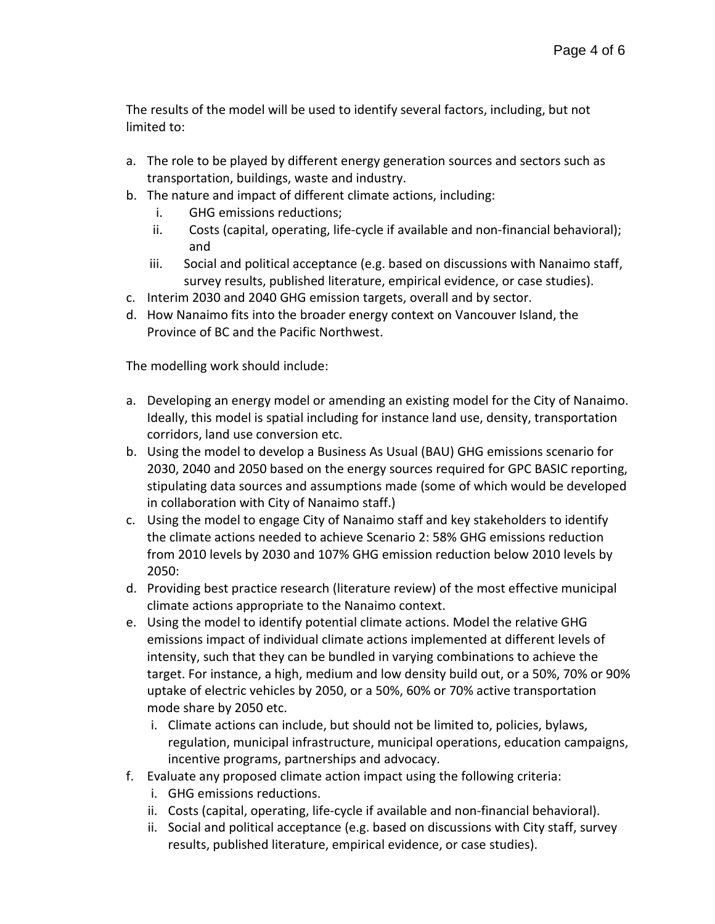The results of the model will be used to identify several factors, including, but not limited to:

- a. The role to be played by different energy generation sources and sectors such as transportation, buildings, waste and industry.
- b. The nature and impact of different climate actions, including:
	- i. GHG emissions reductions;
	- ii. Costs (capital, operating, life-cycle if available and non-financial behavioral); and
	- iii. Social and political acceptance (e.g. based on discussions with Nanaimo staff, survey results, published literature, empirical evidence, or case studies).
- c. Interim 2030 and 2040 GHG emission targets, overall and by sector.
- d. How Nanaimo fits into the broader energy context on Vancouver Island, the Province of BC and the Pacific Northwest.

The modelling work should include:

- a. Developing an energy model or amending an existing model for the City of Nanaimo. Ideally, this model is spatial including for instance land use, density, transportation corridors, land use conversion etc.
- b. Using the model to develop a Business As Usual (BAU) GHG emissions scenario for 2030, 2040 and 2050 based on the energy sources required for GPC BASIC reporting, stipulating data sources and assumptions made (some of which would be developed in collaboration with City of Nanaimo staff.)
- c. Using the model to engage City of Nanaimo staff and key stakeholders to identify the climate actions needed to achieve Scenario 2: 58% GHG emissions reduction from 2010 levels by 2030 and 107% GHG emission reduction below 2010 levels by 2050:
- d. Providing best practice research (literature review) of the most effective municipal climate actions appropriate to the Nanaimo context.
- e. Using the model to identify potential climate actions. Model the relative GHG emissions impact of individual climate actions implemented at different levels of intensity, such that they can be bundled in varying combinations to achieve the target. For instance, a high, medium and low density build out, or a 50%, 70% or 90% uptake of electric vehicles by 2050, or a 50%, 60% or 70% active transportation mode share by 2050 etc.
	- i. Climate actions can include, but should not be limited to, policies, bylaws, regulation, municipal infrastructure, municipal operations, education campaigns, incentive programs, partnerships and advocacy.
- f. Evaluate any proposed climate action impact using the following criteria:
	- i. GHG emissions reductions.
	- ii. Costs (capital, operating, life-cycle if available and non-financial behavioral).
	- ii. Social and political acceptance (e.g. based on discussions with City staff, survey results, published literature, empirical evidence, or case studies).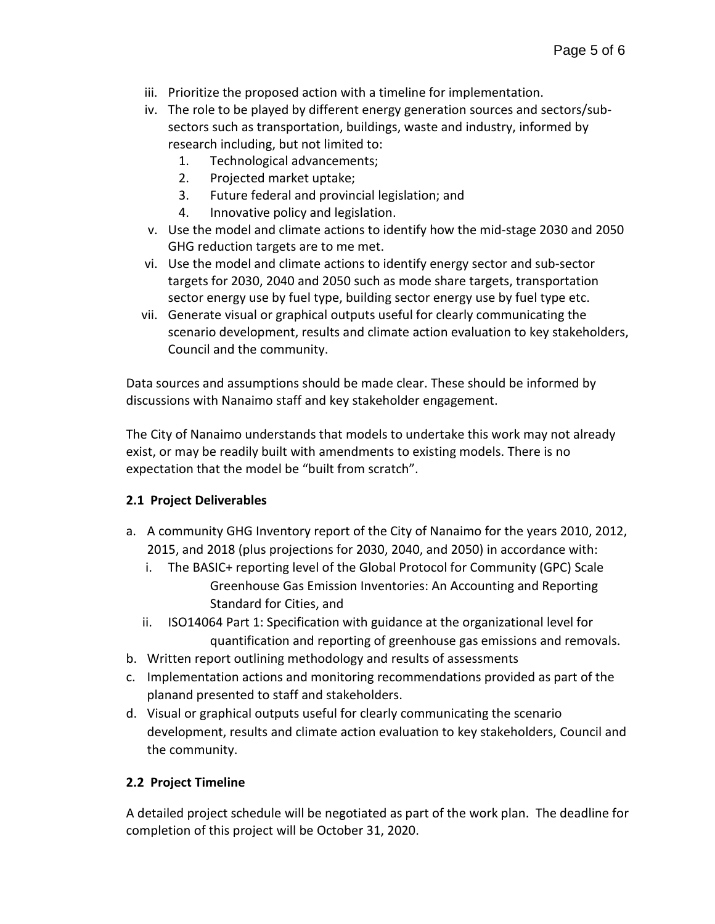- iii. Prioritize the proposed action with a timeline for implementation.
- iv. The role to be played by different energy generation sources and sectors/subsectors such as transportation, buildings, waste and industry, informed by research including, but not limited to:
	- 1. Technological advancements;
	- 2. Projected market uptake;
	- 3. Future federal and provincial legislation; and
	- 4. Innovative policy and legislation.
- v. Use the model and climate actions to identify how the mid-stage 2030 and 2050 GHG reduction targets are to me met.
- vi. Use the model and climate actions to identify energy sector and sub-sector targets for 2030, 2040 and 2050 such as mode share targets, transportation sector energy use by fuel type, building sector energy use by fuel type etc.
- vii. Generate visual or graphical outputs useful for clearly communicating the scenario development, results and climate action evaluation to key stakeholders, Council and the community.

Data sources and assumptions should be made clear. These should be informed by discussions with Nanaimo staff and key stakeholder engagement.

The City of Nanaimo understands that models to undertake this work may not already exist, or may be readily built with amendments to existing models. There is no expectation that the model be "built from scratch".

## **2.1 Project Deliverables**

- a. A community GHG Inventory report of the City of Nanaimo for the years 2010, 2012, 2015, and 2018 (plus projections for 2030, 2040, and 2050) in accordance with:
	- i. The BASIC+ reporting level of the Global Protocol for Community (GPC) Scale Greenhouse Gas Emission Inventories: An Accounting and Reporting Standard for Cities, and
	- ii. ISO14064 Part 1: Specification with guidance at the organizational level for quantification and reporting of greenhouse gas emissions and removals.
- b. Written report outlining methodology and results of assessments
- c. Implementation actions and monitoring recommendations provided as part of the planand presented to staff and stakeholders.
- d. Visual or graphical outputs useful for clearly communicating the scenario development, results and climate action evaluation to key stakeholders, Council and the community.

# **2.2 Project Timeline**

A detailed project schedule will be negotiated as part of the work plan. The deadline for completion of this project will be October 31, 2020.